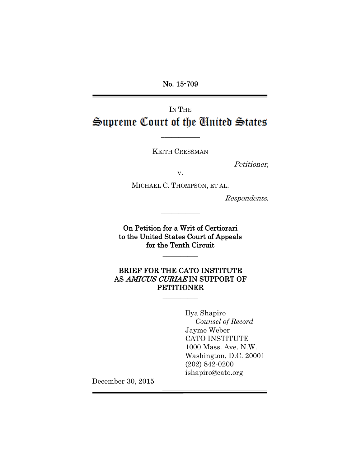No. 15-709

# IN THE Supreme Court of the Cinited States

KEITH CRESSMAN

 $\frac{1}{2}$ 

Petitioner,

v.

MICHAEL C. THOMPSON, ET AL.

 $\frac{1}{2}$ 

Respondents.

On Petition for a Writ of Certiorari to the United States Court of Appeals for the Tenth Circuit

 $\frac{1}{2}$ 

BRIEF FOR THE CATO INSTITUTE AS AMICUS CURIAE IN SUPPORT OF PETITIONER

 $\overline{\phantom{a}}$ 

Ilya Shapiro *Counsel of Record* Jayme Weber CATO INSTITUTE 1000 Mass. Ave. N.W. Washington, D.C. 20001 (202) 842-0200 ishapiro@cato.org

December 30, 2015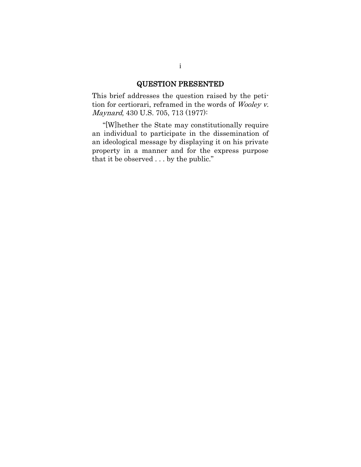# QUESTION PRESENTED

This brief addresses the question raised by the petition for certiorari, reframed in the words of Wooley v. Maynard, 430 U.S. 705, 713 (1977):

"[W]hether the State may constitutionally require an individual to participate in the dissemination of an ideological message by displaying it on his private property in a manner and for the express purpose that it be observed . . . by the public."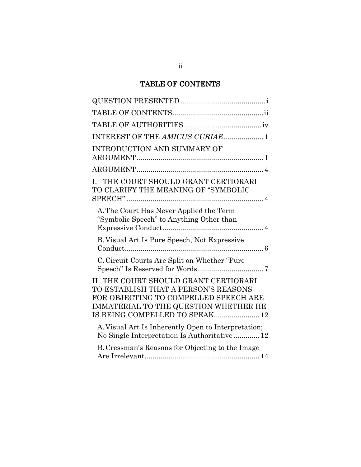# TABLE OF CONTENTS

| INTEREST OF THE AMICUS CURIAE 1                                                                                                                                                                   |
|---------------------------------------------------------------------------------------------------------------------------------------------------------------------------------------------------|
| <b>INTRODUCTION AND SUMMARY OF</b>                                                                                                                                                                |
|                                                                                                                                                                                                   |
| THE COURT SHOULD GRANT CERTIORARI<br>L.<br>TO CLARIFY THE MEANING OF "SYMBOLIC                                                                                                                    |
| A. The Court Has Never Applied the Term<br>"Symbolic Speech" to Anything Other than                                                                                                               |
| B. Visual Art Is Pure Speech, Not Expressive                                                                                                                                                      |
| C. Circuit Courts Are Split on Whether "Pure                                                                                                                                                      |
| II. THE COURT SHOULD GRANT CERTIORARI<br>TO ESTABLISH THAT A PERSON'S REASONS<br>FOR OBJECTING TO COMPELLED SPEECH ARE<br>IMMATERIAL TO THE QUESTION WHETHER HE<br>IS BEING COMPELLED TO SPEAK 12 |
| A. Visual Art Is Inherently Open to Interpretation;<br>No Single Interpretation Is Authoritative 12                                                                                               |
| B. Cressman's Reasons for Objecting to the Image                                                                                                                                                  |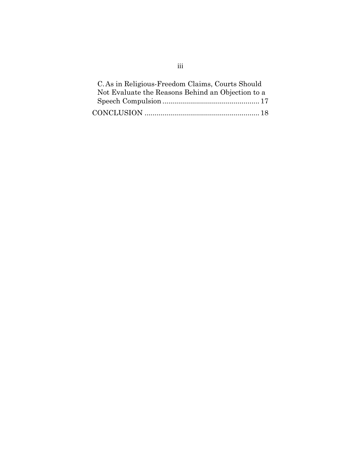| C. As in Religious-Freedom Claims, Courts Should  |  |
|---------------------------------------------------|--|
| Not Evaluate the Reasons Behind an Objection to a |  |
|                                                   |  |
|                                                   |  |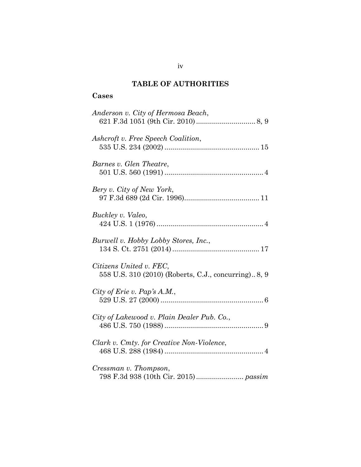# **TABLE OF AUTHORITIES**

# **Cases**

| Anderson v. City of Hermosa Beach,                                              |
|---------------------------------------------------------------------------------|
| Ashcroft v. Free Speech Coalition,                                              |
| Barnes v. Glen Theatre,                                                         |
| Bery v. City of New York,                                                       |
| Buckley v. Valeo,                                                               |
| Burwell v. Hobby Lobby Stores, Inc.,                                            |
| Citizens United v. FEC,<br>558 U.S. 310 (2010) (Roberts, C.J., concurring) 8, 9 |
| City of Erie v. Pap's A.M.,                                                     |
| City of Lakewood v. Plain Dealer Pub. Co.,                                      |
| Clark v. Cmty. for Creative Non-Violence,                                       |
| Cressman v. Thompson,                                                           |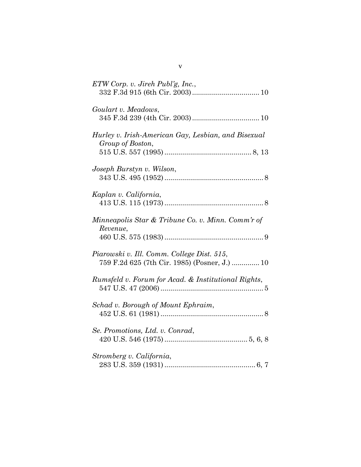| $ETW$ Corp. v. Jireh Publ'g, Inc.,                                                          |
|---------------------------------------------------------------------------------------------|
| Goulart v. Meadows,                                                                         |
| Hurley v. Irish-American Gay, Lesbian, and Bisexual<br>Group of Boston,                     |
| Joseph Burstyn v. Wilson,                                                                   |
| Kaplan v. California,                                                                       |
| Minneapolis Star & Tribune Co. v. Minn. Comm'r of<br>Revenue,                               |
| Piarowski v. Ill. Comm. College Dist. 515,<br>759 F.2d 625 (7th Cir. 1985) (Posner, J.)  10 |
| Rumsfeld v. Forum for Acad. & Institutional Rights,                                         |
| Schad v. Borough of Mount Ephraim,                                                          |
| Se. Promotions, Ltd. v. Conrad,                                                             |
| Stromberg v. California,                                                                    |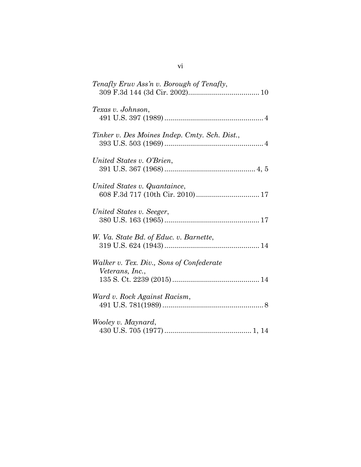| Tenafly Eruv Ass'n v. Borough of Tenafly,                        |
|------------------------------------------------------------------|
| Texas v. Johnson,                                                |
| Tinker v. Des Moines Indep. Cmty. Sch. Dist.,                    |
| United States v. O'Brien,                                        |
| United States v. Quantaince,<br>608 F.3d 717 (10th Cir. 2010) 17 |
| United States v. Seeger,                                         |
| W. Va. State Bd. of Educ. v. Barnette,                           |
| Walker v. Tex. Div., Sons of Confederate<br>Veterans, Inc.,      |
| Ward v. Rock Against Racism,                                     |
| Wooley v. Maynard,                                               |
|                                                                  |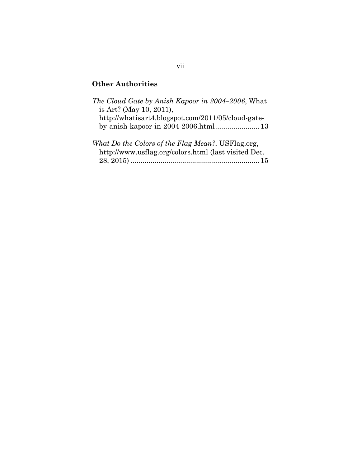# **Other Authorities**

| The Cloud Gate by Anish Kapoor in 2004–2006, What    |
|------------------------------------------------------|
| is Art? (May 10, 2011),                              |
| http://whatisart4.blogspot.com/2011/05/cloud-gate-   |
|                                                      |
|                                                      |
| What Do the Colors of the Flag Mean?, USFlag.org,    |
| http://www.usflag.org/colors.html (last visited Dec. |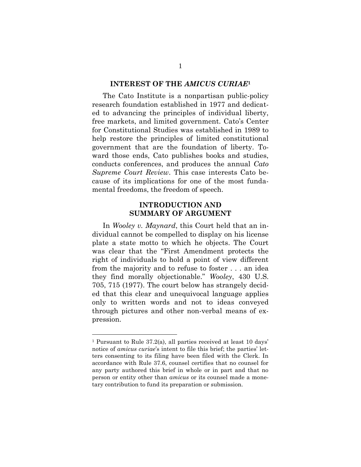#### **INTEREST OF THE** *AMICUS CURIAE***<sup>1</sup>**

The Cato Institute is a nonpartisan public-policy research foundation established in 1977 and dedicated to advancing the principles of individual liberty, free markets, and limited government. Cato's Center for Constitutional Studies was established in 1989 to help restore the principles of limited constitutional government that are the foundation of liberty. Toward those ends, Cato publishes books and studies, conducts conferences, and produces the annual *Cato Supreme Court Review*. This case interests Cato because of its implications for one of the most fundamental freedoms, the freedom of speech.

## **INTRODUCTION AND SUMMARY OF ARGUMENT**

In *Wooley v. Maynard*, this Court held that an individual cannot be compelled to display on his license plate a state motto to which he objects. The Court was clear that the "First Amendment protects the right of individuals to hold a point of view different from the majority and to refuse to foster . . . an idea they find morally objectionable." *Wooley*, 430 U.S. 705, 715 (1977). The court below has strangely decided that this clear and unequivocal language applies only to written words and not to ideas conveyed through pictures and other non-verbal means of expression.

 $\overline{a}$ 

<sup>1</sup> Pursuant to Rule 37.2(a), all parties received at least 10 days' notice of *amicus curiae*'s intent to file this brief; the parties' letters consenting to its filing have been filed with the Clerk. In accordance with Rule 37.6, counsel certifies that no counsel for any party authored this brief in whole or in part and that no person or entity other than *amicus* or its counsel made a monetary contribution to fund its preparation or submission.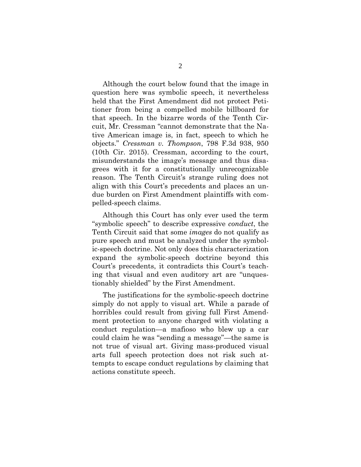Although the court below found that the image in question here was symbolic speech, it nevertheless held that the First Amendment did not protect Petitioner from being a compelled mobile billboard for that speech. In the bizarre words of the Tenth Circuit, Mr. Cressman "cannot demonstrate that the Native American image is, in fact, speech to which he objects." *Cressman v. Thompson*, 798 F.3d 938, 950 (10th Cir. 2015). Cressman, according to the court, misunderstands the image's message and thus disagrees with it for a constitutionally unrecognizable reason. The Tenth Circuit's strange ruling does not align with this Court's precedents and places an undue burden on First Amendment plaintiffs with compelled-speech claims.

Although this Court has only ever used the term "symbolic speech" to describe expressive *conduct*, the Tenth Circuit said that some *images* do not qualify as pure speech and must be analyzed under the symbolic-speech doctrine. Not only does this characterization expand the symbolic-speech doctrine beyond this Court's precedents, it contradicts this Court's teaching that visual and even auditory art are "unquestionably shielded" by the First Amendment.

The justifications for the symbolic-speech doctrine simply do not apply to visual art. While a parade of horribles could result from giving full First Amendment protection to anyone charged with violating a conduct regulation—a mafioso who blew up a car could claim he was "sending a message"—the same is not true of visual art. Giving mass-produced visual arts full speech protection does not risk such attempts to escape conduct regulations by claiming that actions constitute speech.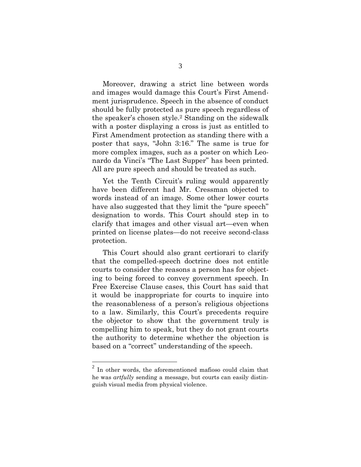Moreover, drawing a strict line between words and images would damage this Court's First Amendment jurisprudence. Speech in the absence of conduct should be fully protected as pure speech regardless of the speaker's chosen style.<sup>2</sup> Standing on the sidewalk with a poster displaying a cross is just as entitled to First Amendment protection as standing there with a poster that says, "John 3:16." The same is true for more complex images, such as a poster on which Leonardo da Vinci's "The Last Supper" has been printed. All are pure speech and should be treated as such.

Yet the Tenth Circuit's ruling would apparently have been different had Mr. Cressman objected to words instead of an image. Some other lower courts have also suggested that they limit the "pure speech" designation to words. This Court should step in to clarify that images and other visual art—even when printed on license plates—do not receive second-class protection.

This Court should also grant certiorari to clarify that the compelled-speech doctrine does not entitle courts to consider the reasons a person has for objecting to being forced to convey government speech. In Free Exercise Clause cases, this Court has said that it would be inappropriate for courts to inquire into the reasonableness of a person's religious objections to a law. Similarly, this Court's precedents require the objector to show that the government truly is compelling him to speak, but they do not grant courts the authority to determine whether the objection is based on a "correct" understanding of the speech.

 $\overline{a}$ 

 $2$  In other words, the aforementioned mafioso could claim that he was *artfully* sending a message, but courts can easily distinguish visual media from physical violence.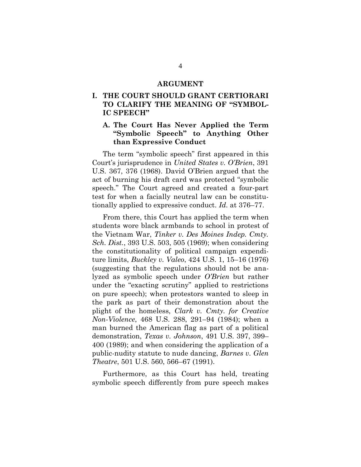#### **ARGUMENT**

## **I. THE COURT SHOULD GRANT CERTIORARI TO CLARIFY THE MEANING OF "SYMBOL-IC SPEECH"**

### **A. The Court Has Never Applied the Term "Symbolic Speech" to Anything Other than Expressive Conduct**

The term "symbolic speech" first appeared in this Court's jurisprudence in *United States v. O'Brien*, 391 U.S. 367, 376 (1968). David O'Brien argued that the act of burning his draft card was protected "symbolic speech." The Court agreed and created a four-part test for when a facially neutral law can be constitutionally applied to expressive conduct. *Id.* at 376–77.

From there, this Court has applied the term when students wore black armbands to school in protest of the Vietnam War, *Tinker v. Des Moines Indep. Cmty. Sch. Dist.*, 393 U.S. 503, 505 (1969); when considering the constitutionality of political campaign expenditure limits, *Buckley v. Valeo*, 424 U.S. 1, 15–16 (1976) (suggesting that the regulations should not be analyzed as symbolic speech under *O'Brien* but rather under the "exacting scrutiny" applied to restrictions on pure speech); when protestors wanted to sleep in the park as part of their demonstration about the plight of the homeless, *Clark v. Cmty. for Creative Non-Violence*, 468 U.S. 288, 291–94 (1984); when a man burned the American flag as part of a political demonstration, *Texas v. Johnson*, 491 U.S. 397, 399– 400 (1989); and when considering the application of a public-nudity statute to nude dancing, *Barnes v. Glen Theatre*, 501 U.S. 560, 566–67 (1991).

Furthermore, as this Court has held, treating symbolic speech differently from pure speech makes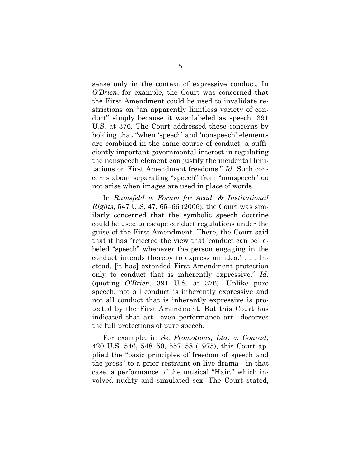sense only in the context of expressive conduct. In *O'Brien*, for example, the Court was concerned that the First Amendment could be used to invalidate restrictions on "an apparently limitless variety of conduct" simply because it was labeled as speech. 391 U.S. at 376. The Court addressed these concerns by holding that "when 'speech' and 'nonspeech' elements are combined in the same course of conduct, a sufficiently important governmental interest in regulating the nonspeech element can justify the incidental limitations on First Amendment freedoms." *Id.* Such concerns about separating "speech" from "nonspeech" do not arise when images are used in place of words.

In *Rumsfeld v. Forum for Acad. & Institutional Rights*, 547 U.S. 47, 65–66 (2006), the Court was similarly concerned that the symbolic speech doctrine could be used to escape conduct regulations under the guise of the First Amendment. There, the Court said that it has "rejected the view that 'conduct can be labeled "speech" whenever the person engaging in the conduct intends thereby to express an idea.' . . . Instead, [it has] extended First Amendment protection only to conduct that is inherently expressive." *Id.* (quoting *O'Brien*, 391 U.S. at 376). Unlike pure speech, not all conduct is inherently expressive and not all conduct that is inherently expressive is protected by the First Amendment. But this Court has indicated that art—even performance art—deserves the full protections of pure speech.

For example, in *Se. Promotions, Ltd. v. Conrad*, 420 U.S. 546, 548–50, 557–58 (1975), this Court applied the "basic principles of freedom of speech and the press" to a prior restraint on live drama—in that case, a performance of the musical "Hair," which involved nudity and simulated sex. The Court stated,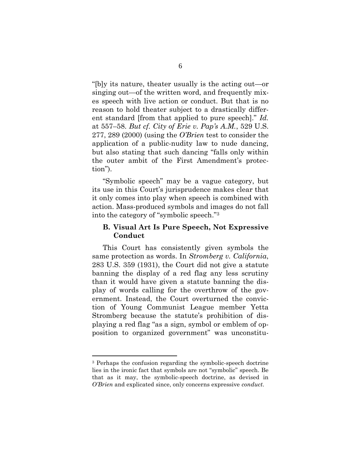"[b]y its nature, theater usually is the acting out—or singing out—of the written word, and frequently mixes speech with live action or conduct. But that is no reason to hold theater subject to a drastically different standard [from that applied to pure speech]." *Id.* at 557–58. *But cf. City of Erie v. Pap's A.M.*, 529 U.S. 277, 289 (2000) (using the *O'Brien* test to consider the application of a public-nudity law to nude dancing, but also stating that such dancing "falls only within the outer ambit of the First Amendment's protection").

"Symbolic speech" may be a vague category, but its use in this Court's jurisprudence makes clear that it only comes into play when speech is combined with action. Mass-produced symbols and images do not fall into the category of "symbolic speech." 3

#### **B. Visual Art Is Pure Speech, Not Expressive Conduct**

This Court has consistently given symbols the same protection as words. In *Stromberg v. California*, 283 U.S. 359 (1931), the Court did not give a statute banning the display of a red flag any less scrutiny than it would have given a statute banning the display of words calling for the overthrow of the government. Instead, the Court overturned the conviction of Young Communist League member Yetta Stromberg because the statute's prohibition of displaying a red flag "as a sign, symbol or emblem of opposition to organized government" was unconstitu-

 $\overline{a}$ 

<sup>3</sup> Perhaps the confusion regarding the symbolic-speech doctrine lies in the ironic fact that symbols are not "symbolic" speech. Be that as it may, the symbolic-speech doctrine, as devised in *O'Brien* and explicated since, only concerns expressive *conduct*.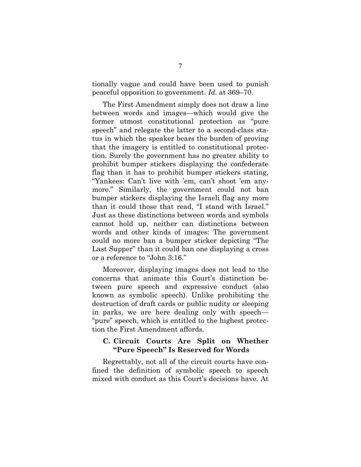tionally vague and could have been used to punish peaceful opposition to government. *Id.* at 369–70.

The First Amendment simply does not draw a line between words and images—which would give the former utmost constitutional protection as "pure speech" and relegate the latter to a second-class status in which the speaker bears the burden of proving that the imagery is entitled to constitutional protection. Surely the government has no greater ability to prohibit bumper stickers displaying the confederate flag than it has to prohibit bumper stickers stating, "Yankees: Can't live with 'em, can't shoot 'em anymore." Similarly, the government could not ban bumper stickers displaying the Israeli flag any more than it could those that read, "I stand with Israel." Just as these distinctions between words and symbols cannot hold up, neither can distinctions between words and other kinds of images: The government could no more ban a bumper sticker depicting "The Last Supper" than it could ban one displaying a cross or a reference to "John 3:16."

Moreover, displaying images does not lead to the concerns that animate this Court's distinction between pure speech and expressive conduct (also known as symbolic speech). Unlike prohibiting the destruction of draft cards or public nudity or sleeping in parks, we are here dealing only with speech— "pure" speech, which is entitled to the highest protection the First Amendment affords.

#### **C. Circuit Courts Are Split on Whether "Pure Speech" Is Reserved for Words**

Regrettably, not all of the circuit courts have confined the definition of symbolic speech to speech mixed with conduct as this Court's decisions have. At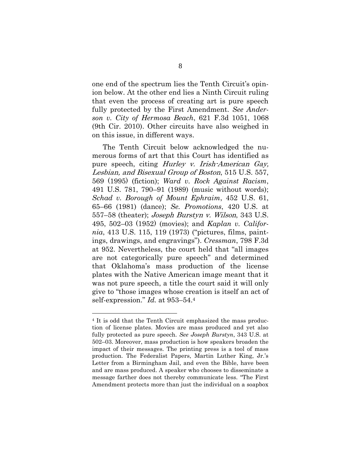one end of the spectrum lies the Tenth Circuit's opinion below. At the other end lies a Ninth Circuit ruling that even the process of creating art is pure speech fully protected by the First Amendment. *See Anderson v. City of Hermosa Beach*, 621 F.3d 1051, 1068 (9th Cir. 2010). Other circuits have also weighed in on this issue, in different ways.

The Tenth Circuit below acknowledged the numerous forms of art that this Court has identified as pure speech, citing Hurley v. Irish-American Gay, Lesbian, and Bisexual Group of Boston, 515 U.S. 557, 569 (1995) (fiction); *Ward v. Rock Against Racism*, 491 U.S. 781, 790–91 (1989) (music without words); *Schad v. Borough of Mount Ephraim*, 452 U.S. 61, 65–66 (1981) (dance); *Se. Promotions*, 420 U.S. at 557–58 (theater); Joseph Burstyn v. Wilson, 343 U.S. 495, 502–03 (1952) (movies); and *Kaplan v. California*, 413 U.S. 115, 119 (1973) ("pictures, films, paintings, drawings, and engravings"). *Cressman*, 798 F.3d at 952. Nevertheless, the court held that "all images are not categorically pure speech" and determined that Oklahoma's mass production of the license plates with the Native American image meant that it was not pure speech, a title the court said it will only give to "those images whose creation is itself an act of self-expression." *Id.* at 953–54.<sup>4</sup>

 $\overline{a}$ 

<sup>&</sup>lt;sup>4</sup> It is odd that the Tenth Circuit emphasized the mass production of license plates. Movies are mass produced and yet also fully protected as pure speech. *See Joseph Burstyn*, 343 U.S. at 502–03. Moreover, mass production is how speakers broaden the impact of their messages. The printing press is a tool of mass production. The Federalist Papers, Martin Luther King, Jr.'s Letter from a Birmingham Jail, and even the Bible, have been and are mass produced. A speaker who chooses to disseminate a message farther does not thereby communicate less. "The First Amendment protects more than just the individual on a soapbox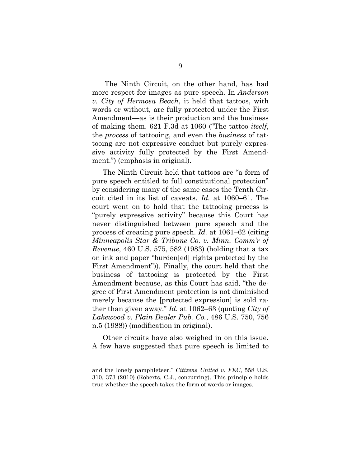The Ninth Circuit, on the other hand, has had more respect for images as pure speech. In *Anderson v. City of Hermosa Beach*, it held that tattoos, with words or without, are fully protected under the First Amendment—as is their production and the business of making them. 621 F.3d at 1060 ("The tattoo *itself*, the *process* of tattooing, and even the *business* of tattooing are not expressive conduct but purely expressive activity fully protected by the First Amendment.") (emphasis in original).

The Ninth Circuit held that tattoos are "a form of pure speech entitled to full constitutional protection" by considering many of the same cases the Tenth Circuit cited in its list of caveats. *Id.* at 1060–61. The court went on to hold that the tattooing process is "purely expressive activity" because this Court has never distinguished between pure speech and the process of creating pure speech. *Id.* at 1061–62 (citing *Minneapolis Star & Tribune Co. v. Minn. Comm'r of Revenue*, 460 U.S. 575, 582 (1983) (holding that a tax on ink and paper "burden[ed] rights protected by the First Amendment")). Finally, the court held that the business of tattooing is protected by the First Amendment because, as this Court has said, "the degree of First Amendment protection is not diminished merely because the [protected expression] is sold rather than given away." *Id.* at 1062–63 (quoting *City of Lakewood v. Plain Dealer Pub. Co.*, 486 U.S. 750, 756 n.5 (1988)) (modification in original).

Other circuits have also weighed in on this issue. A few have suggested that pure speech is limited to

<u>.</u>

and the lonely pamphleteer." *Citizens United v. FEC*, 558 U.S. 310, 373 (2010) (Roberts, C.J., concurring). This principle holds true whether the speech takes the form of words or images.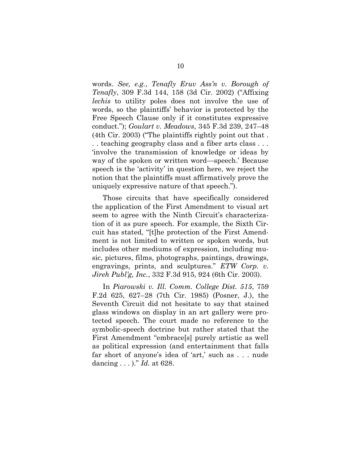words. *See, e.g.*, *Tenafly Eruv Ass'n v. Borough of Tenafly*, 309 F.3d 144, 158 (3d Cir. 2002) ("Affixing *lechis* to utility poles does not involve the use of words, so the plaintiffs' behavior is protected by the Free Speech Clause only if it constitutes expressive conduct."); *Goulart v. Meadows*, 345 F.3d 239, 247–48 (4th Cir. 2003) ("The plaintiffs rightly point out that . . . teaching geography class and a fiber arts class . . . 'involve the transmission of knowledge or ideas by way of the spoken or written word—speech.' Because speech is the 'activity' in question here, we reject the notion that the plaintiffs must affirmatively prove the uniquely expressive nature of that speech.").

Those circuits that have specifically considered the application of the First Amendment to visual art seem to agree with the Ninth Circuit's characterization of it as pure speech. For example, the Sixth Circuit has stated, "[t]he protection of the First Amendment is not limited to written or spoken words, but includes other mediums of expression, including music, pictures, films, photographs, paintings, drawings, engravings, prints, and sculptures." *ETW Corp. v. Jireh Publ'g, Inc.*, 332 F.3d 915, 924 (6th Cir. 2003).

In *Piarowski v. Ill. Comm. College Dist. 515*, 759 F.2d 625, 627–28 (7th Cir. 1985) (Posner, J.), the Seventh Circuit did not hesitate to say that stained glass windows on display in an art gallery were protected speech. The court made no reference to the symbolic-speech doctrine but rather stated that the First Amendment "embrace[s] purely artistic as well as political expression (and entertainment that falls far short of anyone's idea of 'art,' such as . . . nude dancing . . . )." *Id.* at 628.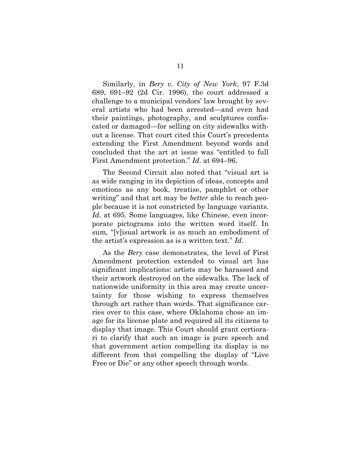Similarly, in *Bery v. City of New York*, 97 F.3d 689, 691–92 (2d Cir. 1996), the court addressed a challenge to a municipal vendors' law brought by several artists who had been arrested—and even had their paintings, photography, and sculptures confiscated or damaged—for selling on city sidewalks without a license. That court cited this Court's precedents extending the First Amendment beyond words and concluded that the art at issue was "entitled to full First Amendment protection." *Id.* at 694–96.

The Second Circuit also noted that "visual art is as wide ranging in its depiction of ideas, concepts and emotions as any book, treatise, pamphlet or other writing" and that art may be *better* able to reach people because it is not constricted by language variants. *Id.* at 695. Some languages, like Chinese, even incorporate pictograms into the written word itself. In sum, "[v]isual artwork is as much an embodiment of the artist's expression as is a written text." *Id.*

As the *Bery* case demonstrates, the level of First Amendment protection extended to visual art has significant implications: artists may be harassed and their artwork destroyed on the sidewalks. The lack of nationwide uniformity in this area may create uncertainty for those wishing to express themselves through art rather than words. That significance carries over to this case, where Oklahoma chose an image for its license plate and required all its citizens to display that image. This Court should grant certiorari to clarify that such an image is pure speech and that government action compelling its display is no different from that compelling the display of "Live Free or Die" or any other speech through words.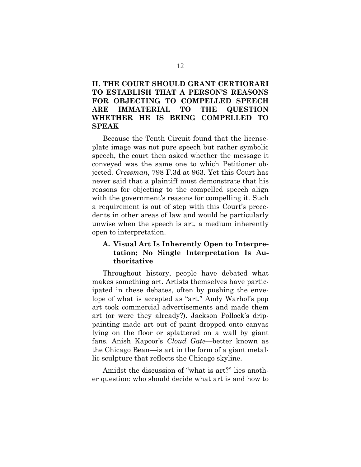# **II. THE COURT SHOULD GRANT CERTIORARI TO ESTABLISH THAT A PERSON'S REASONS FOR OBJECTING TO COMPELLED SPEECH ARE IMMATERIAL TO THE QUESTION WHETHER HE IS BEING COMPELLED TO SPEAK**

Because the Tenth Circuit found that the licenseplate image was not pure speech but rather symbolic speech, the court then asked whether the message it conveyed was the same one to which Petitioner objected. *Cressman*, 798 F.3d at 963. Yet this Court has never said that a plaintiff must demonstrate that his reasons for objecting to the compelled speech align with the government's reasons for compelling it. Such a requirement is out of step with this Court's precedents in other areas of law and would be particularly unwise when the speech is art, a medium inherently open to interpretation.

## **A. Visual Art Is Inherently Open to Interpretation; No Single Interpretation Is Authoritative**

Throughout history, people have debated what makes something art. Artists themselves have participated in these debates, often by pushing the envelope of what is accepted as "art." Andy Warhol's pop art took commercial advertisements and made them art (or were they already?). Jackson Pollock's drippainting made art out of paint dropped onto canvas lying on the floor or splattered on a wall by giant fans. Anish Kapoor's *Cloud Gate*—better known as the Chicago Bean—is art in the form of a giant metallic sculpture that reflects the Chicago skyline.

Amidst the discussion of "what is art?" lies another question: who should decide what art is and how to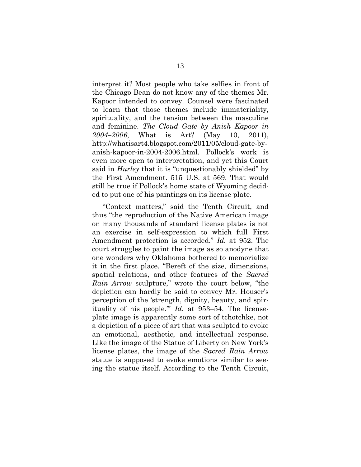interpret it? Most people who take selfies in front of the Chicago Bean do not know any of the themes Mr. Kapoor intended to convey. Counsel were fascinated to learn that those themes include immateriality, spirituality, and the tension between the masculine and feminine. *The Cloud Gate by Anish Kapoor in 2004–2006*, What is Art? (May 10, 2011), http://whatisart4.blogspot.com/2011/05/cloud-gate-byanish-kapoor-in-2004-2006.html. Pollock's work is even more open to interpretation, and yet this Court said in *Hurley* that it is "unquestionably shielded" by the First Amendment. 515 U.S. at 569. That would still be true if Pollock's home state of Wyoming decided to put one of his paintings on its license plate.

"Context matters," said the Tenth Circuit, and thus "the reproduction of the Native American image on many thousands of standard license plates is not an exercise in self-expression to which full First Amendment protection is accorded." *Id.* at 952. The court struggles to paint the image as so anodyne that one wonders why Oklahoma bothered to memorialize it in the first place. "Bereft of the size, dimensions, spatial relations, and other features of the *Sacred Rain Arrow* sculpture," wrote the court below, "the depiction can hardly be said to convey Mr. Houser's perception of the 'strength, dignity, beauty, and spirituality of his people.'" *Id.* at 953–54. The licenseplate image is apparently some sort of tchotchke, not a depiction of a piece of art that was sculpted to evoke an emotional, aesthetic, and intellectual response. Like the image of the Statue of Liberty on New York's license plates, the image of the *Sacred Rain Arrow* statue is supposed to evoke emotions similar to seeing the statue itself. According to the Tenth Circuit,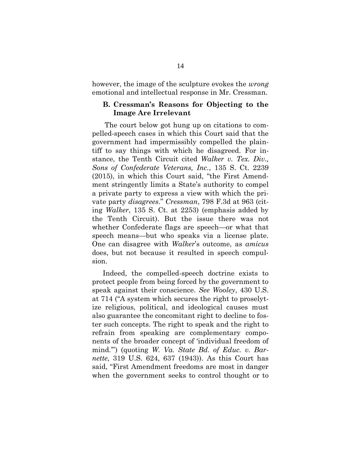however, the image of the sculpture evokes the *wrong* emotional and intellectual response in Mr. Cressman.

#### **B. Cressman's Reasons for Objecting to the Image Are Irrelevant**

The court below got hung up on citations to compelled-speech cases in which this Court said that the government had impermissibly compelled the plaintiff to say things with which he disagreed. For instance, the Tenth Circuit cited *Walker v. Tex. Div., Sons of Confederate Veterans, Inc.*, 135 S. Ct. 2239 (2015), in which this Court said, "the First Amendment stringently limits a State's authority to compel a private party to express a view with which the private party *disagrees*." *Cressman*, 798 F.3d at 963 (citing *Walker*, 135 S. Ct. at 2253) (emphasis added by the Tenth Circuit). But the issue there was not whether Confederate flags are speech—or what that speech means—but who speaks via a license plate. One can disagree with *Walker*'s outcome, as *amicus* does, but not because it resulted in speech compulsion.

Indeed, the compelled-speech doctrine exists to protect people from being forced by the government to speak against their conscience. *See Wooley*, 430 U.S. at 714 ("A system which secures the right to proselytize religious, political, and ideological causes must also guarantee the concomitant right to decline to foster such concepts. The right to speak and the right to refrain from speaking are complementary components of the broader concept of 'individual freedom of mind.'") (quoting *W. Va. State Bd. of Educ. v. Barnette*, 319 U.S. 624, 637 (1943)). As this Court has said, "First Amendment freedoms are most in danger when the government seeks to control thought or to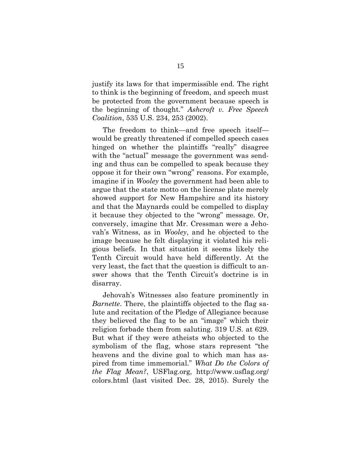justify its laws for that impermissible end. The right to think is the beginning of freedom, and speech must be protected from the government because speech is the beginning of thought." *Ashcroft v. Free Speech Coalition*, 535 U.S. 234, 253 (2002).

The freedom to think—and free speech itself would be greatly threatened if compelled speech cases hinged on whether the plaintiffs "really" disagree with the "actual" message the government was sending and thus can be compelled to speak because they oppose it for their own "wrong" reasons. For example, imagine if in *Wooley* the government had been able to argue that the state motto on the license plate merely showed support for New Hampshire and its history and that the Maynards could be compelled to display it because they objected to the "wrong" message. Or, conversely, imagine that Mr. Cressman were a Jehovah's Witness, as in *Wooley*, and he objected to the image because he felt displaying it violated his religious beliefs. In that situation it seems likely the Tenth Circuit would have held differently. At the very least, the fact that the question is difficult to answer shows that the Tenth Circuit's doctrine is in disarray.

Jehovah's Witnesses also feature prominently in *Barnette*. There, the plaintiffs objected to the flag salute and recitation of the Pledge of Allegiance because they believed the flag to be an "image" which their religion forbade them from saluting. 319 U.S. at 629. But what if they were atheists who objected to the symbolism of the flag, whose stars represent "the heavens and the divine goal to which man has aspired from time immemorial." *What Do the Colors of the Flag Mean?*, USFlag.org, http://www.usflag.org/ colors.html (last visited Dec. 28, 2015). Surely the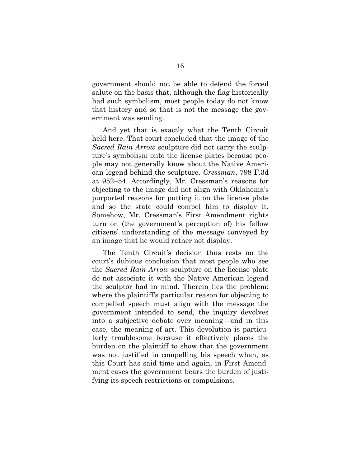government should not be able to defend the forced salute on the basis that, although the flag historically had such symbolism, most people today do not know that history and so that is not the message the government was sending.

And yet that is exactly what the Tenth Circuit held here. That court concluded that the image of the *Sacred Rain Arrow* sculpture did not carry the sculpture's symbolism onto the license plates because people may not generally know about the Native American legend behind the sculpture. *Cressman*, 798 F.3d at 952–54. Accordingly, Mr. Cressman's reasons for objecting to the image did not align with Oklahoma's purported reasons for putting it on the license plate and so the state could compel him to display it. Somehow, Mr. Cressman's First Amendment rights turn on (the government's perception of) his fellow citizens' understanding of the message conveyed by an image that he would rather not display.

The Tenth Circuit's decision thus rests on the court's dubious conclusion that most people who see the *Sacred Rain Arrow* sculpture on the license plate do not associate it with the Native American legend the sculptor had in mind. Therein lies the problem: where the plaintiff's particular reason for objecting to compelled speech must align with the message the government intended to send, the inquiry devolves into a subjective debate over meaning—and in this case, the meaning of art. This devolution is particularly troublesome because it effectively places the burden on the plaintiff to show that the government was not justified in compelling his speech when, as this Court has said time and again, in First Amendment cases the government bears the burden of justifying its speech restrictions or compulsions.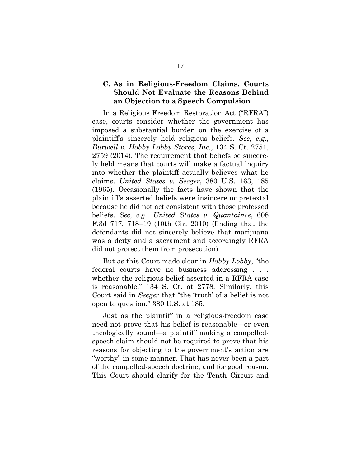### **C. As in Religious-Freedom Claims, Courts Should Not Evaluate the Reasons Behind an Objection to a Speech Compulsion**

In a Religious Freedom Restoration Act ("RFRA") case, courts consider whether the government has imposed a substantial burden on the exercise of a plaintiff's sincerely held religious beliefs. *See, e.g.*, *Burwell v. Hobby Lobby Stores, Inc.*, 134 S. Ct. 2751, 2759 (2014). The requirement that beliefs be sincerely held means that courts will make a factual inquiry into whether the plaintiff actually believes what he claims. *United States v. Seeger*, 380 U.S. 163, 185 (1965). Occasionally the facts have shown that the plaintiff's asserted beliefs were insincere or pretextal because he did not act consistent with those professed beliefs. *See, e.g.*, *United States v. Quantaince*, 608 F.3d 717, 718–19 (10th Cir. 2010) (finding that the defendants did not sincerely believe that marijuana was a deity and a sacrament and accordingly RFRA did not protect them from prosecution).

But as this Court made clear in *Hobby Lobby*, "the federal courts have no business addressing . . . whether the religious belief asserted in a RFRA case is reasonable." 134 S. Ct. at 2778. Similarly, this Court said in *Seeger* that "the 'truth' of a belief is not open to question." 380 U.S. at 185.

Just as the plaintiff in a religious-freedom case need not prove that his belief is reasonable—or even theologically sound—a plaintiff making a compelledspeech claim should not be required to prove that his reasons for objecting to the government's action are "worthy" in some manner. That has never been a part of the compelled-speech doctrine, and for good reason. This Court should clarify for the Tenth Circuit and